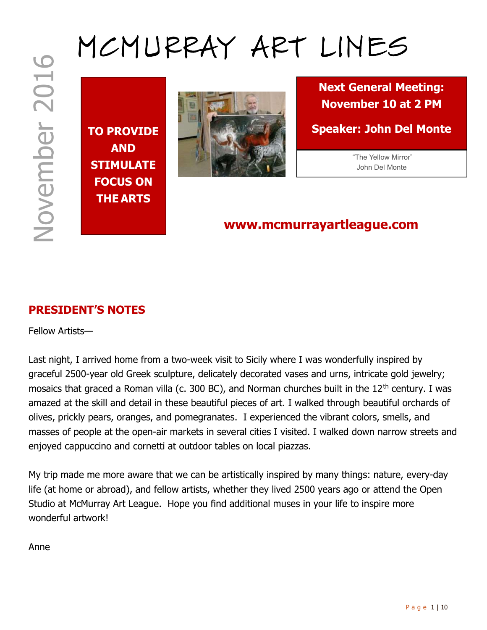# TO PROVIDE AND STIMULATE FOCUS ON THE ARTS



MCMURRAY ART LINES

Next General Meeting: November 10 at 2 PM

Speaker: John Del Monte

 "The Yellow Mirror" John Del Monte

# www.mcmurrayartleague.com

## PRESIDENT'S NOTES

Fellow Artists—

MONTENDENT'S NOTES<br>
NOW TO PROVIDE<br>
NOW SPORE SPORE TO AT 2 PM<br>
NOW STIMULATE<br>
FOCUS ON<br>
STIMULATE<br>
POCUS ON<br>
PITEARTS<br>
POCUS ON<br>
PITEARTS<br>
POCUS ON<br>
PITEARTS<br>
POCUS ON<br>
PITEARTS<br>
NOW MINISSES<br>
NOW MINISSES<br>
NOWELLY ARRISS Last night, I arrived home from a two-week visit to Sicily where I was wonderfully inspired by graceful 2500-year old Greek sculpture, delicately decorated vases and urns, intricate gold jewelry; mosaics that graced a Roman villa (c. 300 BC), and Norman churches built in the 12<sup>th</sup> century. I was amazed at the skill and detail in these beautiful pieces of art. I walked through beautiful orchards of olives, prickly pears, oranges, and pomegranates. I experienced the vibrant colors, smells, and masses of people at the open-air markets in several cities I visited. I walked down narrow streets and enjoyed cappuccino and cornetti at outdoor tables on local piazzas.

My trip made me more aware that we can be artistically inspired by many things: nature, every-day life (at home or abroad), and fellow artists, whether they lived 2500 years ago or attend the Open Studio at McMurray Art League. Hope you find additional muses in your life to inspire more wonderful artwork!

Anne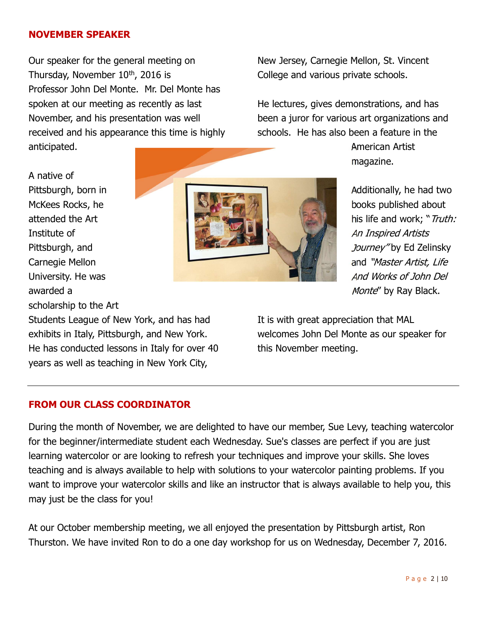#### NOVEMBER SPEAKER

Our speaker for the general meeting on Thursday, November  $10<sup>th</sup>$ , 2016 is Professor John Del Monte. Mr. Del Monte has spoken at our meeting as recently as last November, and his presentation was well received and his appearance this time is highly anticipated.

New Jersey, Carnegie Mellon, St. Vincent College and various private schools.

He lectures, gives demonstrations, and has been a juror for various art organizations and schools. He has also been a feature in the

> American Artist magazine.

Additionally, he had two books published about his life and work; "Truth: An Inspired Artists Journey" by Ed Zelinsky and "Master Artist, Life And Works of John Del Monte" by Ray Black.

It is with great appreciation that MAL welcomes John Del Monte as our speaker for this November meeting.

A native of Pittsburgh, born in McKees Rocks, he attended the Art Institute of Pittsburgh, and Carnegie Mellon University. He was awarded a

scholarship to the Art

Students League of New York, and has had exhibits in Italy, Pittsburgh, and New York. He has conducted lessons in Italy for over 40 years as well as teaching in New York City,

## FROM OUR CLASS COORDINATOR

During the month of November, we are delighted to have our member, Sue Levy, teaching watercolor for the beginner/intermediate student each Wednesday. Sue's classes are perfect if you are just learning watercolor or are looking to refresh your techniques and improve your skills. She loves teaching and is always available to help with solutions to your watercolor painting problems. If you want to improve your watercolor skills and like an instructor that is always available to help you, this may just be the class for you!

At our October membership meeting, we all enjoyed the presentation by Pittsburgh artist, Ron Thurston. We have invited Ron to do a one day workshop for us on Wednesday, December 7, 2016.

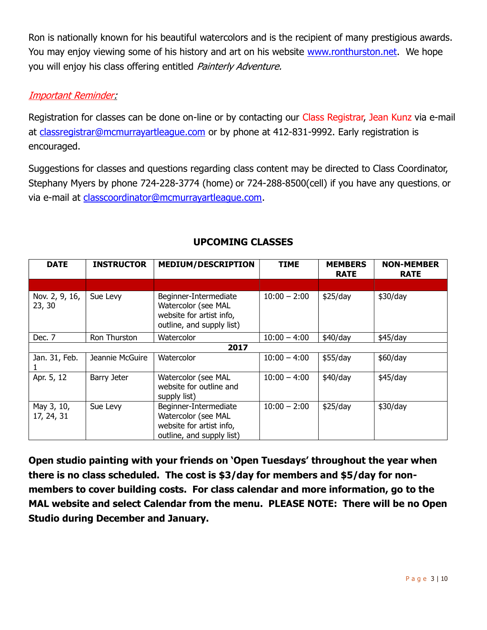Ron is nationally known for his beautiful watercolors and is the recipient of many prestigious awards. You may enjoy viewing some of his history and art on his website www.ronthurston.net. We hope you will enjoy his class offering entitled Painterly Adventure.

#### Important Reminder:

Registration for classes can be done on-line or by contacting our Class Registrar, Jean Kunz via e-mail at classregistrar@mcmurrayartleague.com or by phone at 412-831-9992. Early registration is encouraged.

Suggestions for classes and questions regarding class content may be directed to Class Coordinator, Stephany Myers by phone 724-228-3774 (home) or 724-288-8500(cell) if you have any questions, or via e-mail at classcoordinator@mcmurrayartleague.com.

| <b>DATE</b>              | <b>INSTRUCTOR</b> | <b>MEDIUM/DESCRIPTION</b><br><b>TIME</b>                                                              |                | <b>MEMBERS</b><br><b>RATE</b> | <b>NON-MEMBER</b><br><b>RATE</b> |  |
|--------------------------|-------------------|-------------------------------------------------------------------------------------------------------|----------------|-------------------------------|----------------------------------|--|
|                          |                   |                                                                                                       |                |                               |                                  |  |
| Nov. 2, 9, 16,<br>23, 30 | Sue Levy          | Beginner-Intermediate<br>Watercolor (see MAL<br>website for artist info,<br>outline, and supply list) | $10:00 - 2:00$ | \$25/day                      | \$30/day                         |  |
| Dec. 7                   | Ron Thurston      | Watercolor<br>$10:00 - 4:00$                                                                          |                | \$40/day                      | $$45$ /day                       |  |
| 2017                     |                   |                                                                                                       |                |                               |                                  |  |
| Jan. 31, Feb.            | Jeannie McGuire   | Watercolor                                                                                            | $10:00 - 4:00$ | \$55/day                      | \$60/day                         |  |
| Apr. 5, 12               | Barry Jeter       | Watercolor (see MAL<br>website for outline and<br>supply list)                                        | $10:00 - 4:00$ | \$40/day                      | \$45/day                         |  |
| May 3, 10,<br>17, 24, 31 | Sue Levy          | Beginner-Intermediate<br>Watercolor (see MAL<br>website for artist info,<br>outline, and supply list) | $10:00 - 2:00$ | \$25/day                      | \$30/day                         |  |

## UPCOMING CLASSES

Open studio painting with your friends on 'Open Tuesdays' throughout the year when there is no class scheduled. The cost is \$3/day for members and \$5/day for nonmembers to cover building costs. For class calendar and more information, go to the MAL website and select Calendar from the menu. PLEASE NOTE: There will be no Open Studio during December and January.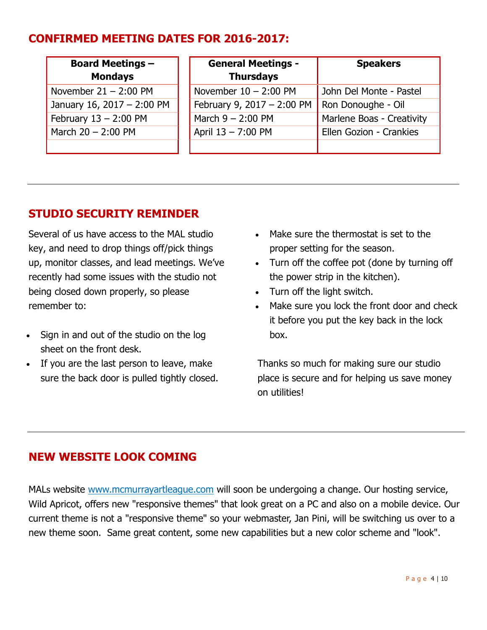# CONFIRMED MEETING DATES FOR 2016-2017:

| <b>Board Meetings -</b><br><b>Mondays</b> | <b>General Meetings -</b><br><b>Thursdays</b> | <b>Speakers</b>           |
|-------------------------------------------|-----------------------------------------------|---------------------------|
| November $21 - 2:00$ PM                   | November $10 - 2:00$ PM                       | John Del Monte - Pastel   |
| January 16, 2017 - 2:00 PM                | February 9, 2017 - 2:00 PM                    | Ron Donoughe - Oil        |
| February $13 - 2:00$ PM                   | March $9 - 2:00$ PM                           | Marlene Boas - Creativity |
| March $20 - 2:00$ PM                      | April 13 - 7:00 PM                            | Ellen Gozion - Crankies   |
|                                           |                                               |                           |

# STUDIO SECURITY REMINDER

Several of us have access to the MAL studio key, and need to drop things off/pick things up, monitor classes, and lead meetings. We've recently had some issues with the studio not being closed down properly, so please remember to:

- Sign in and out of the studio on the log sheet on the front desk.
- If you are the last person to leave, make sure the back door is pulled tightly closed.
- Make sure the thermostat is set to the proper setting for the season.
- Turn off the coffee pot (done by turning off the power strip in the kitchen).
- Turn off the light switch.
- Make sure you lock the front door and check it before you put the key back in the lock box.

Thanks so much for making sure our studio place is secure and for helping us save money on utilities!

## NEW WEBSITE LOOK COMING

MALs website www.mcmurrayartleague.com will soon be undergoing a change. Our hosting service, Wild Apricot, offers new "responsive themes" that look great on a PC and also on a mobile device. Our current theme is not a "responsive theme" so your webmaster, Jan Pini, will be switching us over to a new theme soon. Same great content, some new capabilities but a new color scheme and "look".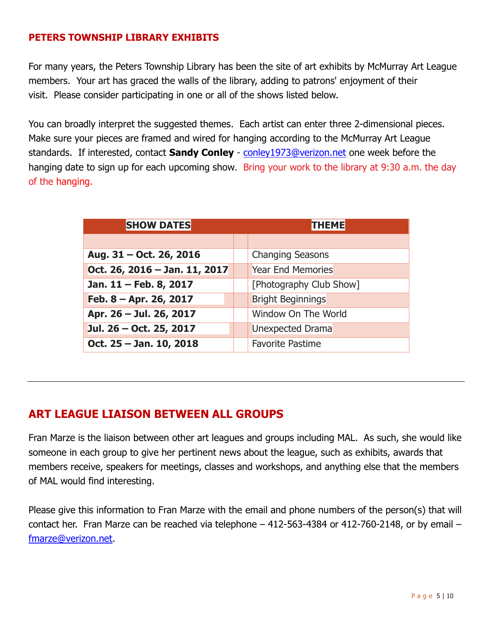#### PETERS TOWNSHIP LIBRARY EXHIBITS

For many years, the Peters Township Library has been the site of art exhibits by McMurray Art League members. Your art has graced the walls of the library, adding to patrons' enjoyment of their visit. Please consider participating in one or all of the shows listed below.

You can broadly interpret the suggested themes. Each artist can enter three 2-dimensional pieces. Make sure your pieces are framed and wired for hanging according to the McMurray Art League standards. If interested, contact **Sandy Conley** - conley1973@verizon.net one week before the hanging date to sign up for each upcoming show. Bring your work to the library at 9:30 a.m. the day of the hanging.

| <b>SHOW DATES</b>             | <b>THEME</b>             |  |  |
|-------------------------------|--------------------------|--|--|
|                               |                          |  |  |
| Aug. 31 – Oct. 26, 2016       | <b>Changing Seasons</b>  |  |  |
| Oct. 26, 2016 - Jan. 11, 2017 | <b>Year End Memories</b> |  |  |
| Jan. 11 - Feb. 8, 2017        | [Photography Club Show]  |  |  |
| Feb. 8 – Apr. 26, 2017        | <b>Bright Beginnings</b> |  |  |
| Apr. 26 - Jul. 26, 2017       | Window On The World      |  |  |
| Jul. 26 - Oct. 25, 2017       | <b>Unexpected Drama</b>  |  |  |
| Oct. 25 - Jan. 10, 2018       | <b>Favorite Pastime</b>  |  |  |

## ART LEAGUE LIAISON BETWEEN ALL GROUPS

Fran Marze is the liaison between other art leagues and groups including MAL. As such, she would like someone in each group to give her pertinent news about the league, such as exhibits, awards that members receive, speakers for meetings, classes and workshops, and anything else that the members of MAL would find interesting.

Please give this information to Fran Marze with the email and phone numbers of the person(s) that will contact her. Fran Marze can be reached via telephone – 412-563-4384 or 412-760-2148, or by email – fmarze@verizon.net.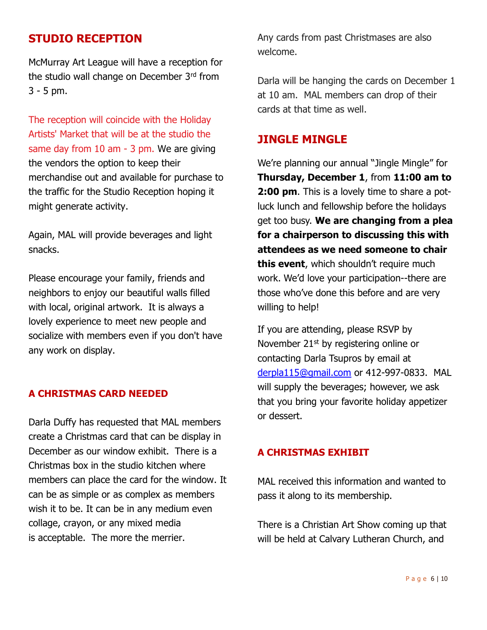## STUDIO RECEPTION

McMurray Art League will have a reception for the studio wall change on December 3rd from 3 - 5 pm.

The reception will coincide with the Holiday Artists' Market that will be at the studio the same day from 10 am - 3 pm. We are giving the vendors the option to keep their merchandise out and available for purchase to the traffic for the Studio Reception hoping it might generate activity.

Again, MAL will provide beverages and light snacks.

Please encourage your family, friends and neighbors to enjoy our beautiful walls filled with local, original artwork. It is always a lovely experience to meet new people and socialize with members even if you don't have any work on display.

#### A CHRISTMAS CARD NEEDED

Darla Duffy has requested that MAL members create a Christmas card that can be display in December as our window exhibit. There is a Christmas box in the studio kitchen where members can place the card for the window. It can be as simple or as complex as members wish it to be. It can be in any medium even collage, crayon, or any mixed media is acceptable. The more the merrier.

Any cards from past Christmases are also welcome.

Darla will be hanging the cards on December 1 at 10 am. MAL members can drop of their cards at that time as well.

## JINGLE MINGLE

We're planning our annual "Jingle Mingle" for Thursday, December 1, from 11:00 am to **2:00 pm.** This is a lovely time to share a potluck lunch and fellowship before the holidays get too busy. We are changing from a plea for a chairperson to discussing this with attendees as we need someone to chair this event, which shouldn't require much work. We'd love your participation--there are those who've done this before and are very willing to help!

If you are attending, please RSVP by November 21<sup>st</sup> by registering online or contacting Darla Tsupros by email at derpla115@gmail.com or 412-997-0833. MAL will supply the beverages; however, we ask that you bring your favorite holiday appetizer or dessert.

#### A CHRISTMAS EXHIBIT

MAL received this information and wanted to pass it along to its membership.

There is a Christian Art Show coming up that will be held at Calvary Lutheran Church, and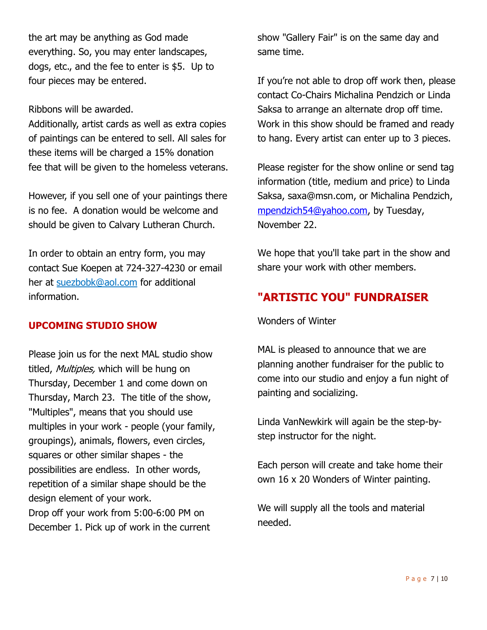the art may be anything as God made everything. So, you may enter landscapes, dogs, etc., and the fee to enter is \$5. Up to four pieces may be entered.

Ribbons will be awarded.

Additionally, artist cards as well as extra copies of paintings can be entered to sell. All sales for these items will be charged a 15% donation fee that will be given to the homeless veterans.

However, if you sell one of your paintings there is no fee. A donation would be welcome and should be given to Calvary Lutheran Church.

In order to obtain an entry form, you may contact Sue Koepen at 724-327-4230 or email her at suezbobk@aol.com for additional information.

#### UPCOMING STUDIO SHOW

Please join us for the next MAL studio show titled, Multiples, which will be hung on Thursday, December 1 and come down on Thursday, March 23. The title of the show, "Multiples", means that you should use multiples in your work - people (your family, groupings), animals, flowers, even circles, squares or other similar shapes - the possibilities are endless. In other words, repetition of a similar shape should be the design element of your work. Drop off your work from 5:00-6:00 PM on December 1. Pick up of work in the current

show "Gallery Fair" is on the same day and same time.

If you're not able to drop off work then, please contact Co-Chairs Michalina Pendzich or Linda Saksa to arrange an alternate drop off time. Work in this show should be framed and ready to hang. Every artist can enter up to 3 pieces.

Please register for the show online or send tag information (title, medium and price) to Linda Saksa, saxa@msn.com, or Michalina Pendzich, mpendzich54@yahoo.com, by Tuesday, November 22.

We hope that you'll take part in the show and share your work with other members.

## "ARTISTIC YOU" FUNDRAISER

Wonders of Winter

MAL is pleased to announce that we are planning another fundraiser for the public to come into our studio and enjoy a fun night of painting and socializing.

Linda VanNewkirk will again be the step-bystep instructor for the night.

Each person will create and take home their own 16 x 20 Wonders of Winter painting.

We will supply all the tools and material needed.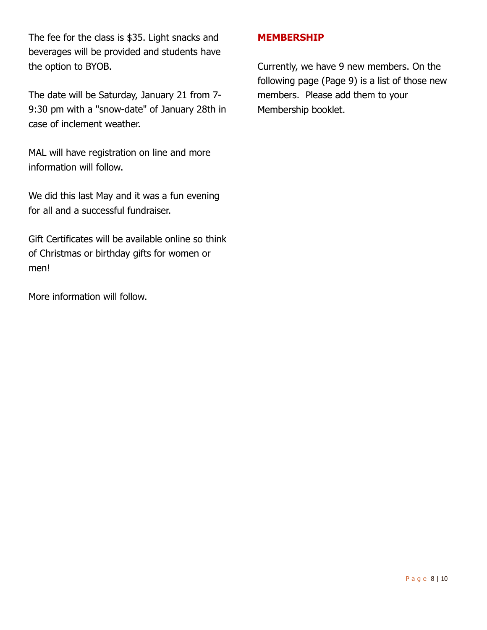The fee for the class is \$35. Light snacks and beverages will be provided and students have the option to BYOB.

The date will be Saturday, January 21 from 7- 9:30 pm with a "snow-date" of January 28th in case of inclement weather.

MAL will have registration on line and more information will follow.

We did this last May and it was a fun evening for all and a successful fundraiser.

Gift Certificates will be available online so think of Christmas or birthday gifts for women or men!

More information will follow.

#### MEMBERSHIP

Currently, we have 9 new members. On the following page (Page 9) is a list of those new members. Please add them to your Membership booklet.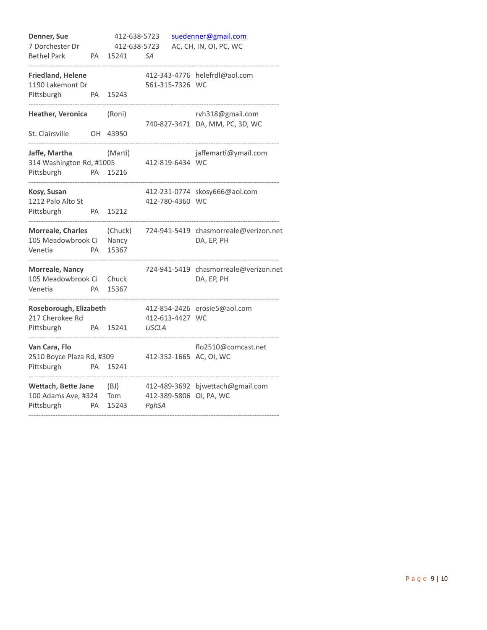| Denner, Sue<br>7 Dorchester Dr<br><b>Bethel Park</b>       | PA        | 412-638-5723<br>412-638-5723<br>15241 | SА                              | suedenner@gmail.com<br>AC, CH, IN, OI, PC, WC       |
|------------------------------------------------------------|-----------|---------------------------------------|---------------------------------|-----------------------------------------------------|
| <b>Friedland, Helene</b><br>1190 Lakemont Dr<br>Pittsburgh | PA        | 15243                                 | 561-315-7326 WC                 | 412-343-4776 helefrdl@aol.com                       |
| Heather, Veronica<br>St. Clairsville                       | OH        | (Roni)<br>43950                       |                                 | rvh318@gmail.com<br>740-827-3471 DA, MM, PC, 3D, WC |
| Jaffe, Martha<br>314 Washington Rd, #1005<br>Pittsburgh    | PA        | (Marti)<br>15216                      | 412-819-6434 WC                 | jaffemarti@ymail.com                                |
| Kosy, Susan<br>1212 Palo Alto St<br>Pittsburgh             | PA.       | 15212                                 | 412-780-4360 WC                 | 412-231-0774 skosy666@aol.com                       |
| <b>Morreale, Charles</b><br>105 Meadowbrook Ci<br>Venetia  | <b>PA</b> | (Chuck)<br>Nancy<br>15367             |                                 | 724-941-5419 chasmorreale@verizon.net<br>DA, EP, PH |
| <b>Morreale, Nancy</b><br>105 Meadowbrook Ci<br>Venetia    | PA        | Chuck<br>15367                        |                                 | 724-941-5419 chasmorreale@verizon.net<br>DA, EP, PH |
| Roseborough, Elizabeth<br>217 Cherokee Rd<br>Pittsburgh    | PA        | 15241                                 | 412-613-4427 WC<br><b>USCLA</b> | 412-854-2426 erosie5@aol.com                        |
| Van Cara, Flo<br>2510 Boyce Plaza Rd, #309<br>Pittsburgh   | PA        | 15241                                 |                                 | flo2510@comcast.net<br>412-352-1665 AC, OI, WC      |
| Wettach, Bette Jane<br>100 Adams Ave, #324<br>Pittsburgh   | PA        | (BJ)<br>Tom<br>15243                  | 412-489-3692<br>PghSA           | bjwettach@gmail.com<br>412-389-5806 OI, PA, WC      |
|                                                            |           |                                       |                                 |                                                     |